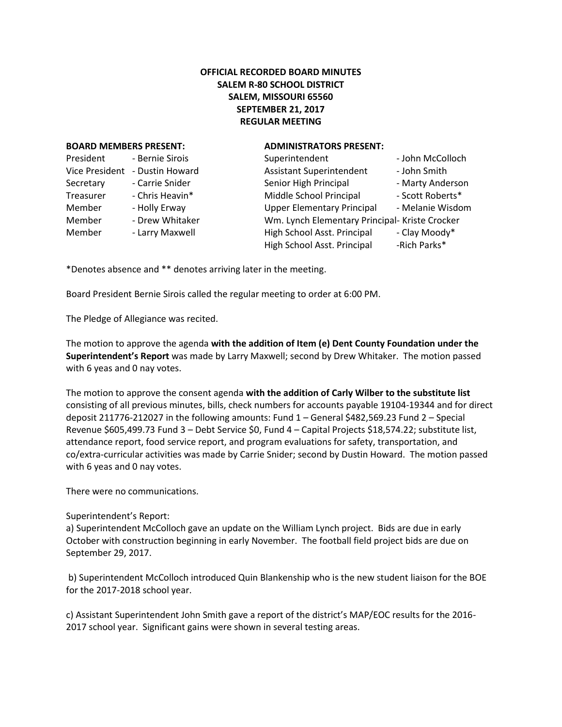# **OFFICIAL RECORDED BOARD MINUTES SALEM R-80 SCHOOL DISTRICT SALEM, MISSOURI 65560 SEPTEMBER 21, 2017 REGULAR MEETING**

#### **BOARD MEMBERS PRESENT: ADMINISTRATORS PRESENT:**

| President             | - Bernie Sirois |
|-----------------------|-----------------|
| <b>Vice President</b> | - Dustin Howard |
| Secretary             | - Carrie Snider |
| Treasurer             | - Chris Heavin* |
| Member                | - Holly Erway   |
| Member                | - Drew Whitaker |
| Member                | - Larry Maxwell |
|                       |                 |

| President      | - Bernie Sirois | Superintendent                                             | - John McColloch              |
|----------------|-----------------|------------------------------------------------------------|-------------------------------|
| Vice President | - Dustin Howard | <b>Assistant Superintendent</b>                            | - John Smith                  |
| Secretary      | - Carrie Snider | Senior High Principal                                      | - Marty Anderson              |
| Treasurer      | - Chris Heavin* | Middle School Principal                                    | - Scott Roberts*              |
| Member         | - Holly Erway   | <b>Upper Elementary Principal</b>                          | - Melanie Wisdom              |
| Member         | - Drew Whitaker | Wm. Lynch Elementary Principal- Kriste Crocker             |                               |
| Member         | - Larry Maxwell | High School Asst. Principal<br>High School Asst. Principal | - Clay Moody*<br>-Rich Parks* |
|                |                 |                                                            |                               |

\*Denotes absence and \*\* denotes arriving later in the meeting.

Board President Bernie Sirois called the regular meeting to order at 6:00 PM.

The Pledge of Allegiance was recited.

The motion to approve the agenda **with the addition of Item (e) Dent County Foundation under the Superintendent's Report** was made by Larry Maxwell; second by Drew Whitaker. The motion passed with 6 yeas and 0 nay votes.

The motion to approve the consent agenda **with the addition of Carly Wilber to the substitute list**  consisting of all previous minutes, bills, check numbers for accounts payable 19104-19344 and for direct deposit 211776-212027 in the following amounts: Fund 1 – General \$482,569.23 Fund 2 – Special Revenue \$605,499.73 Fund 3 – Debt Service \$0, Fund 4 – Capital Projects \$18,574.22; substitute list, attendance report, food service report, and program evaluations for safety, transportation, and co/extra-curricular activities was made by Carrie Snider; second by Dustin Howard. The motion passed with 6 yeas and 0 nay votes.

There were no communications.

#### Superintendent's Report:

a) Superintendent McColloch gave an update on the William Lynch project. Bids are due in early October with construction beginning in early November. The football field project bids are due on September 29, 2017.

b) Superintendent McColloch introduced Quin Blankenship who is the new student liaison for the BOE for the 2017-2018 school year.

c) Assistant Superintendent John Smith gave a report of the district's MAP/EOC results for the 2016- 2017 school year. Significant gains were shown in several testing areas.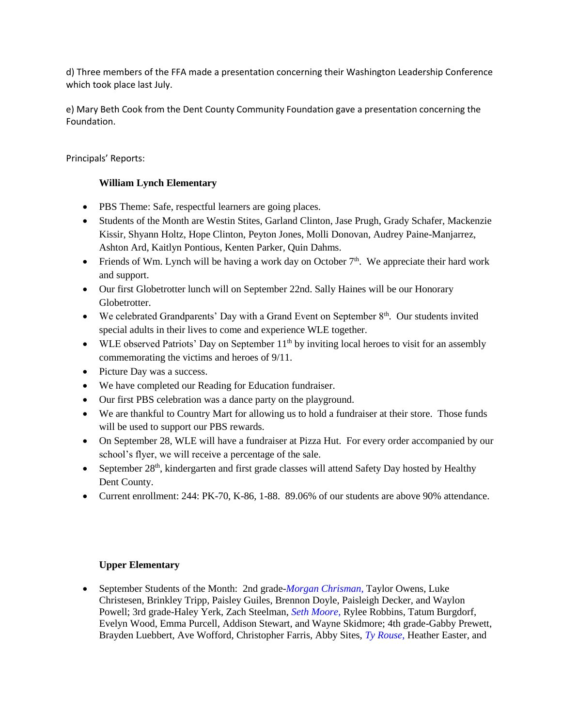d) Three members of the FFA made a presentation concerning their Washington Leadership Conference which took place last July.

e) Mary Beth Cook from the Dent County Community Foundation gave a presentation concerning the Foundation.

Principals' Reports:

## **William Lynch Elementary**

- PBS Theme: Safe, respectful learners are going places.
- Students of the Month are Westin Stites, Garland Clinton, Jase Prugh, Grady Schafer, Mackenzie Kissir, Shyann Holtz, Hope Clinton, Peyton Jones, Molli Donovan, Audrey Paine-Manjarrez, Ashton Ard, Kaitlyn Pontious, Kenten Parker, Quin Dahms.
- Friends of Wm. Lynch will be having a work day on October  $7<sup>th</sup>$ . We appreciate their hard work and support.
- Our first Globetrotter lunch will on September 22nd. Sally Haines will be our Honorary Globetrotter.
- We celebrated Grandparents' Day with a Grand Event on September  $8<sup>th</sup>$ . Our students invited special adults in their lives to come and experience WLE together.
- WLE observed Patriots' Day on September  $11<sup>th</sup>$  by inviting local heroes to visit for an assembly commemorating the victims and heroes of 9/11.
- Picture Day was a success.
- We have completed our Reading for Education fundraiser.
- Our first PBS celebration was a dance party on the playground.
- We are thankful to Country Mart for allowing us to hold a fundraiser at their store. Those funds will be used to support our PBS rewards.
- On September 28, WLE will have a fundraiser at Pizza Hut. For every order accompanied by our school's flyer, we will receive a percentage of the sale.
- September 28<sup>th</sup>, kindergarten and first grade classes will attend Safety Day hosted by Healthy Dent County.
- Current enrollment: 244: PK-70, K-86, 1-88. 89.06% of our students are above 90% attendance.

# **Upper Elementary**

 September Students of the Month: 2nd grade-*Morgan Chrisman,* Taylor Owens, Luke Christesen, Brinkley Tripp, Paisley Guiles, Brennon Doyle, Paisleigh Decker, and Waylon Powell; 3rd grade-Haley Yerk, Zach Steelman, *Seth Moore*, Rylee Robbins, Tatum Burgdorf, Evelyn Wood, Emma Purcell, Addison Stewart, and Wayne Skidmore; 4th grade-Gabby Prewett, Brayden Luebbert, Ave Wofford, Christopher Farris, Abby Sites, *Ty Rouse*, Heather Easter, and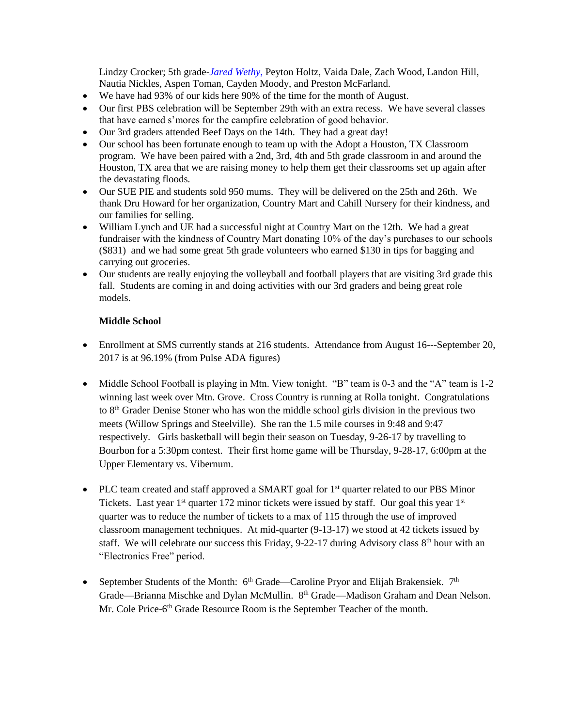Lindzy Crocker; 5th grade-*Jared Wethy*, Peyton Holtz, Vaida Dale, Zach Wood, Landon Hill, Nautia Nickles, Aspen Toman, Cayden Moody, and Preston McFarland.

- We have had 93% of our kids here 90% of the time for the month of August.
- Our first PBS celebration will be September 29th with an extra recess. We have several classes that have earned s'mores for the campfire celebration of good behavior.
- Our 3rd graders attended Beef Days on the 14th. They had a great day!
- Our school has been fortunate enough to team up with the Adopt a Houston, TX Classroom program. We have been paired with a 2nd, 3rd, 4th and 5th grade classroom in and around the Houston, TX area that we are raising money to help them get their classrooms set up again after the devastating floods.
- Our SUE PIE and students sold 950 mums. They will be delivered on the 25th and 26th. We thank Dru Howard for her organization, Country Mart and Cahill Nursery for their kindness, and our families for selling.
- William Lynch and UE had a successful night at Country Mart on the 12th. We had a great fundraiser with the kindness of Country Mart donating 10% of the day's purchases to our schools (\$831) and we had some great 5th grade volunteers who earned \$130 in tips for bagging and carrying out groceries.
- Our students are really enjoying the volleyball and football players that are visiting 3rd grade this fall. Students are coming in and doing activities with our 3rd graders and being great role models.

## **Middle School**

- Enrollment at SMS currently stands at 216 students. Attendance from August 16---September 20, 2017 is at 96.19% (from Pulse ADA figures)
- Middle School Football is playing in Mtn. View tonight. "B" team is 0-3 and the "A" team is 1-2 winning last week over Mtn. Grove. Cross Country is running at Rolla tonight. Congratulations to 8<sup>th</sup> Grader Denise Stoner who has won the middle school girls division in the previous two meets (Willow Springs and Steelville). She ran the 1.5 mile courses in 9:48 and 9:47 respectively. Girls basketball will begin their season on Tuesday, 9-26-17 by travelling to Bourbon for a 5:30pm contest. Their first home game will be Thursday, 9-28-17, 6:00pm at the Upper Elementary vs. Vibernum.
- PLC team created and staff approved a SMART goal for  $1<sup>st</sup>$  quarter related to our PBS Minor Tickets. Last year  $1<sup>st</sup>$  quarter 172 minor tickets were issued by staff. Our goal this year  $1<sup>st</sup>$ quarter was to reduce the number of tickets to a max of 115 through the use of improved classroom management techniques. At mid-quarter (9-13-17) we stood at 42 tickets issued by staff. We will celebrate our success this Friday, 9-22-17 during Advisory class 8<sup>th</sup> hour with an "Electronics Free" period.
- September Students of the Month:  $6<sup>th</sup>$  Grade—Caroline Pryor and Elijah Brakensiek.  $7<sup>th</sup>$ Grade—Brianna Mischke and Dylan McMullin. 8<sup>th</sup> Grade—Madison Graham and Dean Nelson. Mr. Cole Price-6<sup>th</sup> Grade Resource Room is the September Teacher of the month.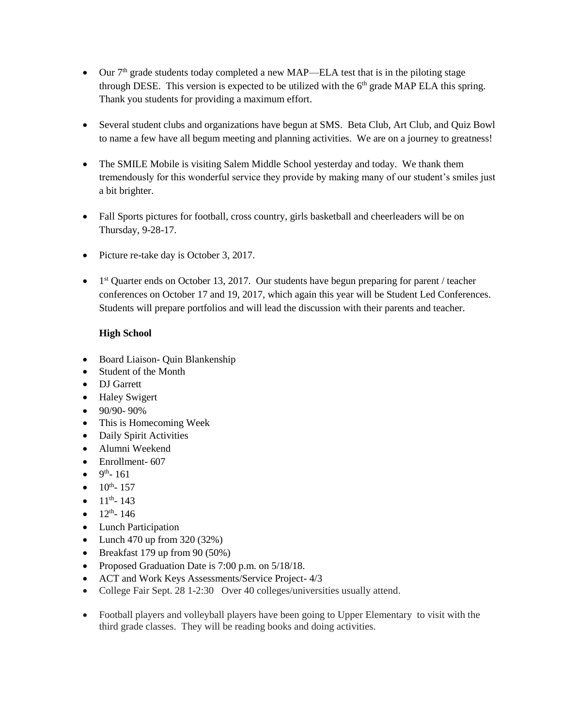- $\bullet$  Our  $7<sup>th</sup>$  grade students today completed a new MAP—ELA test that is in the piloting stage through DESE. This version is expected to be utilized with the  $6<sup>th</sup>$  grade MAP ELA this spring. Thank you students for providing a maximum effort.
- Several student clubs and organizations have begun at SMS. Beta Club, Art Club, and Quiz Bowl to name a few have all begum meeting and planning activities. We are on a journey to greatness!
- The SMILE Mobile is visiting Salem Middle School yesterday and today. We thank them tremendously for this wonderful service they provide by making many of our student's smiles just a bit brighter.
- Fall Sports pictures for football, cross country, girls basketball and cheerleaders will be on Thursday, 9-28-17.
- Picture re-take day is October 3, 2017.
- 1<sup>st</sup> Quarter ends on October 13, 2017. Our students have begun preparing for parent / teacher conferences on October 17 and 19, 2017, which again this year will be Student Led Conferences. Students will prepare portfolios and will lead the discussion with their parents and teacher.

# **High School**

- Board Liaison- Quin Blankenship
- Student of the Month
- **DJ** Garrett
- Haley Swigert
- $\bullet$  90/90- 90%
- This is Homecoming Week
- Daily Spirit Activities
- Alumni Weekend
- Enrollment- 607
- $9^{th}$  161
- $\bullet$  10<sup>th</sup> 157
- $\bullet$  11<sup>th</sup> 143
- $12^{\text{th}}$  146
- Lunch Participation
- Lunch 470 up from  $320(32%)$
- $\bullet$  Breakfast 179 up from 90 (50%)
- Proposed Graduation Date is 7:00 p.m. on  $5/18/18$ .
- ACT and Work Keys Assessments/Service Project- 4/3
- College Fair Sept. 28 1-2:30 Over 40 colleges/universities usually attend.
- Football players and volleyball players have been going to Upper Elementary to visit with the third grade classes. They will be reading books and doing activities.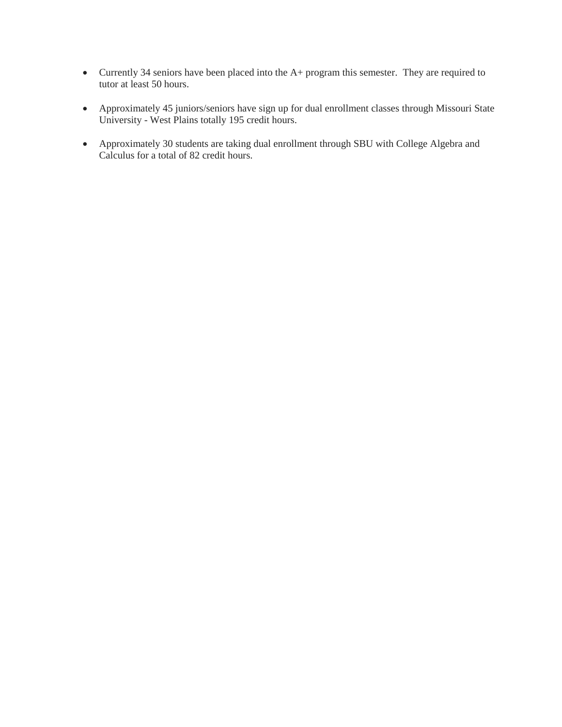- Currently 34 seniors have been placed into the A+ program this semester. They are required to tutor at least 50 hours.
- Approximately 45 juniors/seniors have sign up for dual enrollment classes through Missouri State University - West Plains totally 195 credit hours.
- Approximately 30 students are taking dual enrollment through SBU with College Algebra and Calculus for a total of 82 credit hours.